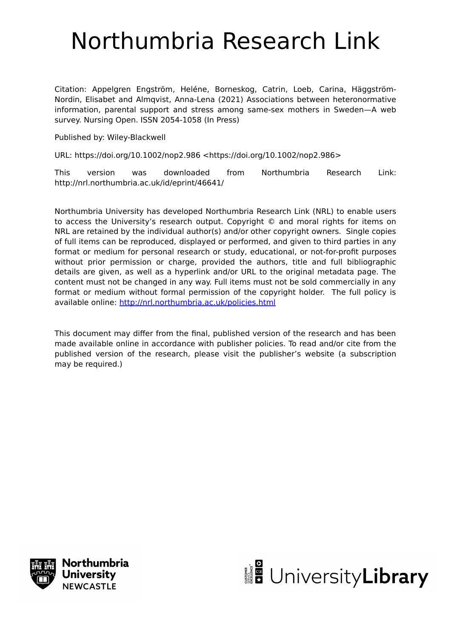# Northumbria Research Link

Citation: Appelgren Engström, Heléne, Borneskog, Catrin, Loeb, Carina, Häggström‐ Nordin, Elisabet and Almqvist, Anna‐Lena (2021) Associations between heteronormative information, parental support and stress among same‐sex mothers in Sweden—A web survey. Nursing Open. ISSN 2054-1058 (In Press)

Published by: Wiley-Blackwell

URL: https://doi.org/10.1002/nop2.986 <https://doi.org/10.1002/nop2.986>

This version was downloaded from Northumbria Research Link: http://nrl.northumbria.ac.uk/id/eprint/46641/

Northumbria University has developed Northumbria Research Link (NRL) to enable users to access the University's research output. Copyright © and moral rights for items on NRL are retained by the individual author(s) and/or other copyright owners. Single copies of full items can be reproduced, displayed or performed, and given to third parties in any format or medium for personal research or study, educational, or not-for-profit purposes without prior permission or charge, provided the authors, title and full bibliographic details are given, as well as a hyperlink and/or URL to the original metadata page. The content must not be changed in any way. Full items must not be sold commercially in any format or medium without formal permission of the copyright holder. The full policy is available online:<http://nrl.northumbria.ac.uk/policies.html>

This document may differ from the final, published version of the research and has been made available online in accordance with publisher policies. To read and/or cite from the published version of the research, please visit the publisher's website (a subscription may be required.)



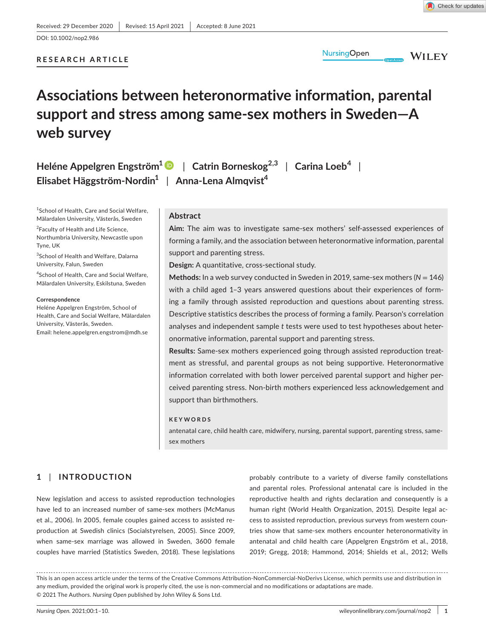DOI: 10.1002/nop2.986

# **RESEARCH ARTICLE**



**WILEY** 

# **Associations between heteronormative information, parental support and stress among same-sex mothers in Sweden—A web survey**

**Heléne Appelgren Engström1** | **Catrin Borneskog2,3** | **Carina Loeb<sup>4</sup>** | **Elisabet Häggström-Nordin1** | **Anna-Lena Almqvist<sup>4</sup>**

1 School of Health, Care and Social Welfare, Mälardalen University, Västerås, Sweden

<sup>2</sup> Faculty of Health and Life Science, Northumbria University, Newcastle upon Tyne, UK

3 School of Health and Welfare, Dalarna University, Falun, Sweden

4 School of Health, Care and Social Welfare, Mälardalen University, Eskilstuna, Sweden

**Correspondence**

Heléne Appelgren Engström, School of Health, Care and Social Welfare, Mälardalen University, Västerås, Sweden. Email: [helene.appelgren.engstrom@mdh.se](mailto:helene.appelgren.engstrom@mdh.se)

#### **Abstract**

**Aim:** The aim was to investigate same-sex mothers' self-assessed experiences of forming a family, and the association between heteronormative information, parental support and parenting stress.

**Design:** A quantitative, cross-sectional study.

**Methods:** In a web survey conducted in Sweden in 2019, same-sex mothers (*N* = 146) with a child aged 1–3 years answered questions about their experiences of forming a family through assisted reproduction and questions about parenting stress. Descriptive statistics describes the process of forming a family. Pearson's correlation analyses and independent sample *t* tests were used to test hypotheses about heteronormative information, parental support and parenting stress.

**Results:** Same-sex mothers experienced going through assisted reproduction treatment as stressful, and parental groups as not being supportive. Heteronormative information correlated with both lower perceived parental support and higher perceived parenting stress. Non-birth mothers experienced less acknowledgement and support than birthmothers.

#### **KEYWORDS**

antenatal care, child health care, midwifery, nursing, parental support, parenting stress, samesex mothers

# **1** | **INTRODUCTION**

New legislation and access to assisted reproduction technologies have led to an increased number of same-sex mothers (McManus et al., 2006). In 2005, female couples gained access to assisted reproduction at Swedish clinics (Socialstyrelsen, 2005). Since 2009, when same-sex marriage was allowed in Sweden, 3600 female couples have married (Statistics Sweden, 2018). These legislations

probably contribute to a variety of diverse family constellations and parental roles. Professional antenatal care is included in the reproductive health and rights declaration and consequently is a human right (World Health Organization, 2015). Despite legal access to assisted reproduction, previous surveys from western countries show that same-sex mothers encounter heteronormativity in antenatal and child health care (Appelgren Engström et al., 2018, 2019; Gregg, 2018; Hammond, 2014; Shields et al., 2012; Wells

This is an open access article under the terms of the [Creative Commons Attribution-NonCommercial-NoDerivs](http://creativecommons.org/licenses/by-nc-nd/4.0/) License, which permits use and distribution in any medium, provided the original work is properly cited, the use is non-commercial and no modifications or adaptations are made. © 2021 The Authors. *Nursing Open* published by John Wiley & Sons Ltd.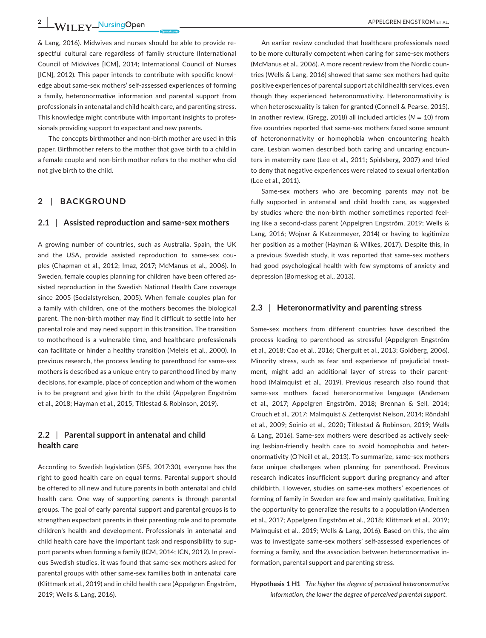& Lang, 2016). Midwives and nurses should be able to provide respectful cultural care regardless of family structure (International Council of Midwives [ICM], 2014; International Council of Nurses [ICN], 2012). This paper intends to contribute with specific knowledge about same-sex mothers' self-assessed experiences of forming a family, heteronormative information and parental support from professionals in antenatal and child health care, and parenting stress. This knowledge might contribute with important insights to professionals providing support to expectant and new parents.

The concepts birthmother and non-birth mother are used in this paper. Birthmother refers to the mother that gave birth to a child in a female couple and non-birth mother refers to the mother who did not give birth to the child.

# **2** | **BACKGROUND**

#### **2.1** | **Assisted reproduction and same-sex mothers**

A growing number of countries, such as Australia, Spain, the UK and the USA, provide assisted reproduction to same-sex couples (Chapman et al., 2012; Imaz, 2017; McManus et al., 2006). In Sweden, female couples planning for children have been offered assisted reproduction in the Swedish National Health Care coverage since 2005 (Socialstyrelsen, 2005). When female couples plan for a family with children, one of the mothers becomes the biological parent. The non-birth mother may find it difficult to settle into her parental role and may need support in this transition. The transition to motherhood is a vulnerable time, and healthcare professionals can facilitate or hinder a healthy transition (Meleis et al., 2000). In previous research, the process leading to parenthood for same-sex mothers is described as a unique entry to parenthood lined by many decisions, for example, place of conception and whom of the women is to be pregnant and give birth to the child (Appelgren Engström et al., 2018; Hayman et al., 2015; Titlestad & Robinson, 2019).

# **2.2** | **Parental support in antenatal and child health care**

According to Swedish legislation (SFS, 2017:30), everyone has the right to good health care on equal terms. Parental support should be offered to all new and future parents in both antenatal and child health care. One way of supporting parents is through parental groups. The goal of early parental support and parental groups is to strengthen expectant parents in their parenting role and to promote children's health and development. Professionals in antenatal and child health care have the important task and responsibility to support parents when forming a family (ICM, 2014; ICN, 2012). In previous Swedish studies, it was found that same-sex mothers asked for parental groups with other same-sex families both in antenatal care (Klittmark et al., 2019) and in child health care (Appelgren Engström, 2019; Wells & Lang, 2016).

An earlier review concluded that healthcare professionals need to be more culturally competent when caring for same-sex mothers (McManus et al., 2006). A more recent review from the Nordic countries (Wells & Lang, 2016) showed that same-sex mothers had quite positive experiences of parental support at child health services, even though they experienced heteronormativity. Heteronormativity is when heterosexuality is taken for granted (Connell & Pearse, 2015). In another review, (Gregg, 2018) all included articles ( $N = 10$ ) from five countries reported that same-sex mothers faced some amount of heteronormativity or homophobia when encountering health care. Lesbian women described both caring and uncaring encounters in maternity care (Lee et al., 2011; Spidsberg, 2007) and tried to deny that negative experiences were related to sexual orientation (Lee et al., 2011).

Same-sex mothers who are becoming parents may not be fully supported in antenatal and child health care, as suggested by studies where the non-birth mother sometimes reported feeling like a second-class parent (Appelgren Engström, 2019; Wells & Lang, 2016; Wojnar & Katzenmeyer, 2014) or having to legitimize her position as a mother (Hayman & Wilkes, 2017). Despite this, in a previous Swedish study, it was reported that same-sex mothers had good psychological health with few symptoms of anxiety and depression (Borneskog et al., 2013).

#### **2.3** | **Heteronormativity and parenting stress**

Same-sex mothers from different countries have described the process leading to parenthood as stressful (Appelgren Engström et al., 2018; Cao et al., 2016; Cherguit et al., 2013; Goldberg, 2006). Minority stress, such as fear and experience of prejudicial treatment, might add an additional layer of stress to their parenthood (Malmquist et al., 2019). Previous research also found that same-sex mothers faced heteronormative language (Andersen et al., 2017; Appelgren Engström, 2018; Brennan & Sell, 2014; Crouch et al., 2017; Malmquist & Zetterqvist Nelson, 2014; Röndahl et al., 2009; Soinio et al., 2020; Titlestad & Robinson, 2019; Wells & Lang, 2016). Same-sex mothers were described as actively seeking lesbian-friendly health care to avoid homophobia and heteronormativity (O'Neill et al., 2013). To summarize, same-sex mothers face unique challenges when planning for parenthood. Previous research indicates insufficient support during pregnancy and after childbirth. However, studies on same-sex mothers' experiences of forming of family in Sweden are few and mainly qualitative, limiting the opportunity to generalize the results to a population (Andersen et al., 2017; Appelgren Engström et al., 2018; Klittmark et al., 2019; Malmquist et al., 2019; Wells & Lang, 2016). Based on this, the aim was to investigate same-sex mothers' self-assessed experiences of forming a family, and the association between heteronormative information, parental support and parenting stress.

**Hypothesis 1 H1** *The higher the degree of perceived heteronormative information, the lower the degree of perceived parental support.*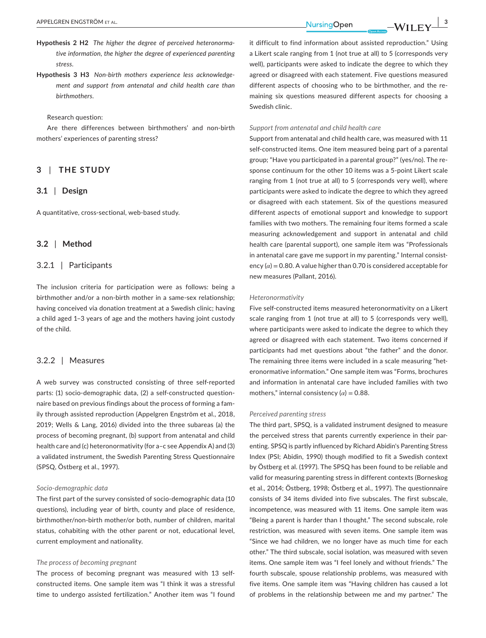- **Hypothesis 2 H2** *The higher the degree of perceived heteronormative information, the higher the degree of experienced parenting stress.*
- **Hypothesis 3 H3** *Non-birth mothers experience less acknowledgement and support from antenatal and child health care than birthmothers.*

#### Research question:

Are there differences between birthmothers' and non-birth mothers' experiences of parenting stress?

# **3** | **THE STUDY**

#### **3.1** | **Design**

A quantitative, cross-sectional, web-based study.

#### **3.2** | **Method**

#### 3.2.1 | Participants

The inclusion criteria for participation were as follows: being a birthmother and/or a non-birth mother in a same-sex relationship; having conceived via donation treatment at a Swedish clinic; having a child aged 1–3 years of age and the mothers having joint custody of the child.

# 3.2.2 | Measures

A web survey was constructed consisting of three self-reported parts: (1) socio-demographic data, (2) a self-constructed questionnaire based on previous findings about the process of forming a family through assisted reproduction (Appelgren Engström et al., 2018, 2019; Wells & Lang, 2016) divided into the three subareas (a) the process of becoming pregnant, (b) support from antenatal and child health care and (c) heteronormativity (for a–c see Appendix A) and (3) a validated instrument, the Swedish Parenting Stress Questionnaire (SPSQ, Östberg et al., 1997).

#### *Socio-demographic data*

The first part of the survey consisted of socio-demographic data (10 questions), including year of birth, county and place of residence, birthmother/non-birth mother/or both, number of children, marital status, cohabiting with the other parent or not, educational level, current employment and nationality.

#### *The process of becoming pregnant*

The process of becoming pregnant was measured with 13 selfconstructed items. One sample item was "I think it was a stressful time to undergo assisted fertilization." Another item was "I found it difficult to find information about assisted reproduction." Using a Likert scale ranging from 1 (not true at all) to 5 (corresponds very well), participants were asked to indicate the degree to which they agreed or disagreed with each statement. Five questions measured different aspects of choosing who to be birthmother, and the remaining six questions measured different aspects for choosing a Swedish clinic.

#### *Support from antenatal and child health care*

Support from antenatal and child health care, was measured with 11 self-constructed items. One item measured being part of a parental group; "Have you participated in a parental group?" (yes/no). The response continuum for the other 10 items was a 5-point Likert scale ranging from 1 (not true at all) to 5 (corresponds very well), where participants were asked to indicate the degree to which they agreed or disagreed with each statement. Six of the questions measured different aspects of emotional support and knowledge to support families with two mothers. The remaining four items formed a scale measuring acknowledgement and support in antenatal and child health care (parental support), one sample item was "Professionals in antenatal care gave me support in my parenting." Internal consistency  $(a) = 0.80$ . A value higher than 0.70 is considered acceptable for new measures (Pallant, 2016).

#### *Heteronormativity*

Five self-constructed items measured heteronormativity on a Likert scale ranging from 1 (not true at all) to 5 (corresponds very well), where participants were asked to indicate the degree to which they agreed or disagreed with each statement. Two items concerned if participants had met questions about "the father" and the donor. The remaining three items were included in a scale measuring "heteronormative information." One sample item was "Forms, brochures and information in antenatal care have included families with two mothers," internal consistency  $(\alpha) = 0.88$ .

#### *Perceived parenting stress*

The third part, SPSQ, is a validated instrument designed to measure the perceived stress that parents currently experience in their parenting. SPSQ is partly influenced by Richard Abidin's Parenting Stress Index (PSI; Abidin, 1990) though modified to fit a Swedish context by Östberg et al. (1997). The SPSQ has been found to be reliable and valid for measuring parenting stress in different contexts (Borneskog et al., 2014; Östberg, 1998; Östberg et al., 1997). The questionnaire consists of 34 items divided into five subscales. The first subscale, incompetence, was measured with 11 items. One sample item was "Being a parent is harder than I thought." The second subscale, role restriction, was measured with seven items. One sample item was "Since we had children, we no longer have as much time for each other." The third subscale, social isolation, was measured with seven items. One sample item was "I feel lonely and without friends." The fourth subscale, spouse relationship problems, was measured with five items. One sample item was "Having children has caused a lot of problems in the relationship between me and my partner." The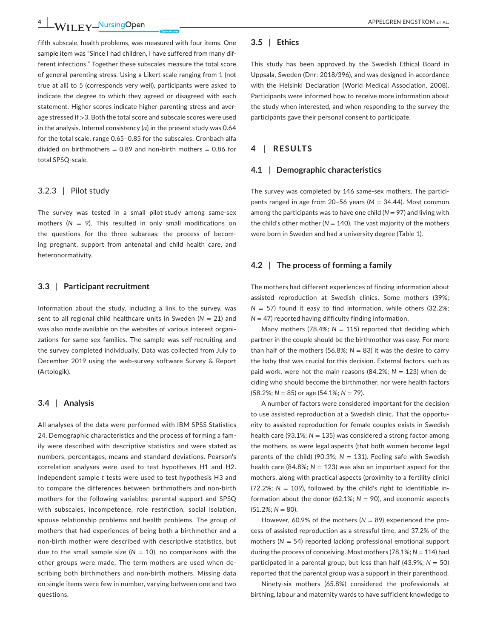**4 WILEY** NursingOpen **CONSTRANT CONSTRANT APPELGREN ENGSTRÖM** ET AL.

fifth subscale, health problems, was measured with four items. One sample item was "Since I had children, I have suffered from many different infections." Together these subscales measure the total score of general parenting stress. Using a Likert scale ranging from 1 (not true at all) to 5 (corresponds very well), participants were asked to indicate the degree to which they agreed or disagreed with each statement. Higher scores indicate higher parenting stress and average stressed if >3. Both the total score and subscale scores were used in the analysis. Internal consistency  $(\alpha)$  in the present study was 0.64 for the total scale, range 0.65–0.85 for the subscales. Cronbach alfa divided on birthmothers =  $0.89$  and non-birth mothers =  $0.86$  for total SPSQ-scale.

#### 3.2.3 | Pilot study

The survey was tested in a small pilot-study among same-sex mothers  $(N = 9)$ . This resulted in only small modifications on the questions for the three subareas: the process of becoming pregnant, support from antenatal and child health care, and heteronormativity.

#### **3.3** | **Participant recruitment**

Information about the study, including a link to the survey, was sent to all regional child healthcare units in Sweden ( $N = 21$ ) and was also made available on the websites of various interest organizations for same-sex families. The sample was self-recruiting and the survey completed individually. Data was collected from July to December 2019 using the web-survey software Survey & Report (Artologik).

#### **3.4** | **Analysis**

All analyses of the data were performed with IBM SPSS Statistics 24. Demographic characteristics and the process of forming a family were described with descriptive statistics and were stated as numbers, percentages, means and standard deviations. Pearson's correlation analyses were used to test hypotheses H1 and H2. Independent sample *t* tests were used to test hypothesis H3 and to compare the differences between birthmothers and non-birth mothers for the following variables: parental support and SPSQ with subscales, incompetence, role restriction, social isolation, spouse relationship problems and health problems. The group of mothers that had experiences of being both a birthmother and a non-birth mother were described with descriptive statistics, but due to the small sample size ( $N = 10$ ), no comparisons with the other groups were made. The term mothers are used when describing both birthmothers and non-birth mothers. Missing data on single items were few in number, varying between one and two questions.

#### **3.5** | **Ethics**

This study has been approved by the Swedish Ethical Board in Uppsala, Sweden (Dnr: 2018/396), and was designed in accordance with the Helsinki Declaration (World Medical Association, 2008). Participants were informed how to receive more information about the study when interested, and when responding to the survey the participants gave their personal consent to participate.

#### **4** | **RESULTS**

#### **4.1** | **Demographic characteristics**

The survey was completed by 146 same-sex mothers. The participants ranged in age from 20–56 years (*M* = 34.44). Most common among the participants was to have one child  $(N = 97)$  and living with the child's other mother ( $N = 140$ ). The vast majority of the mothers were born in Sweden and had a university degree (Table 1).

#### **4.2** | **The process of forming a family**

The mothers had different experiences of finding information about assisted reproduction at Swedish clinics. Some mothers (39%;  $N = 57$ ) found it easy to find information, while others (32.2%; *N* = 47) reported having difficulty finding information.

Many mothers (78.4%;  $N = 115$ ) reported that deciding which partner in the couple should be the birthmother was easy. For more than half of the mothers (56.8%;  $N = 83$ ) it was the desire to carry the baby that was crucial for this decision. External factors, such as paid work, were not the main reasons (84.2%;  $N = 123$ ) when deciding who should become the birthmother, nor were health factors (58.2%; *N* = 85) or age (54.1%; *N* = 79).

A number of factors were considered important for the decision to use assisted reproduction at a Swedish clinic. That the opportunity to assisted reproduction for female couples exists in Swedish health care (93.1%;  $N = 135$ ) was considered a strong factor among the mothers, as were legal aspects (that both women become legal parents of the child) (90.3%; *N* = 131). Feeling safe with Swedish health care (84.8%;  $N = 123$ ) was also an important aspect for the mothers, along with practical aspects (proximity to a fertility clinic)  $(72.2\%; N = 109)$ , followed by the child's right to identifiable information about the donor (62.1%;  $N = 90$ ), and economic aspects  $(51.2\%; N = 80)$ .

However, 60.9% of the mothers (N = 89) experienced the process of assisted reproduction as a stressful time, and 37.2% of the mothers (*N* = 54) reported lacking professional emotional support during the process of conceiving. Most mothers (78.1%; *N* = 114) had participated in a parental group, but less than half (43.9%; *N* = 50) reported that the parental group was a support in their parenthood.

Ninety-six mothers (65.8%) considered the professionals at birthing, labour and maternity wards to have sufficient knowledge to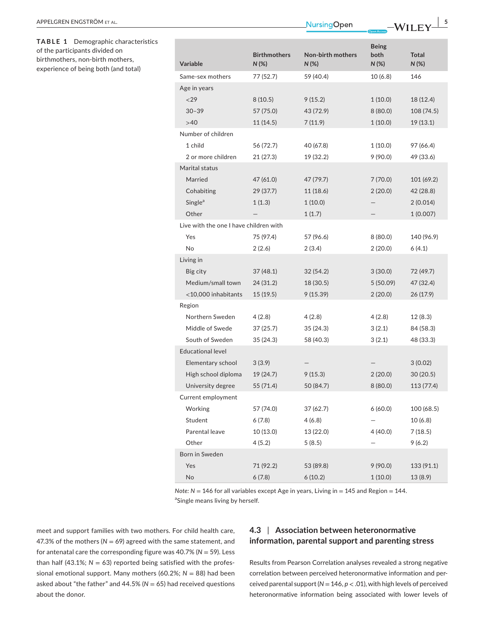**TABLE 1** Demographic characteristics of the participants divided on birthmothers, non-birth mothers, experience of being both (and total)

| <b>Variable</b>                        | <b>Birthmothers</b><br>$N(\%)$ | <b>Non-birth mothers</b><br>$N$ (%) | <b>Being</b><br>both<br>$N(\%)$ | <b>Total</b><br>N (%) |
|----------------------------------------|--------------------------------|-------------------------------------|---------------------------------|-----------------------|
| Same-sex mothers                       | 77 (52.7)                      | 59 (40.4)                           | 10(6.8)                         | 146                   |
| Age in years                           |                                |                                     |                                 |                       |
| < 29                                   | 8(10.5)                        | 9(15.2)                             | 1(10.0)                         | 18 (12.4)             |
| $30 - 39$                              | 57 (75.0)                      | 43 (72.9)                           | 8(80.0)                         | 108 (74.5)            |
| >40                                    | 11 (14.5)                      | 7(11.9)                             | 1(10.0)                         | 19(13.1)              |
| Number of children                     |                                |                                     |                                 |                       |
| 1 child                                | 56 (72.7)                      | 40 (67.8)                           | 1(10.0)                         | 97 (66.4)             |
| 2 or more children                     | 21 (27.3)                      | 19 (32.2)                           | 9 (90.0)                        | 49 (33.6)             |
| Marital status                         |                                |                                     |                                 |                       |
| Married                                | 47 (61.0)                      | 47 (79.7)                           | 7(70.0)                         | 101 (69.2)            |
| Cohabiting                             | 29 (37.7)                      | 11 (18.6)                           | 2(20.0)                         | 42 (28.8)             |
| Single <sup>a</sup>                    | 1(1.3)                         | 1(10.0)                             |                                 | 2(0.014)              |
| Other                                  |                                | 1(1.7)                              |                                 | 1(0.007)              |
| Live with the one I have children with |                                |                                     |                                 |                       |
| Yes                                    | 75 (97.4)                      | 57 (96.6)                           | 8(80.0)                         | 140 (96.9)            |
| <b>No</b>                              | 2(2.6)                         | 2(3.4)                              | 2(20.0)                         | 6(4.1)                |
| Living in                              |                                |                                     |                                 |                       |
| Big city                               | 37 (48.1)                      | 32(54.2)                            | 3(30.0)                         | 72 (49.7)             |
| Medium/small town                      | 24 (31.2)                      | 18 (30.5)                           | 5 (50.09)                       | 47 (32.4)             |
| <10,000 inhabitants                    | 15(19.5)                       | 9(15.39)                            | 2(20.0)                         | 26 (17.9)             |
| Region                                 |                                |                                     |                                 |                       |
| Northern Sweden                        | 4(2.8)                         | 4 (2.8)                             | 4(2.8)                          | 12(8.3)               |
| Middle of Swede                        | 37(25.7)                       | 35(24.3)                            | 3(2.1)                          | 84 (58.3)             |
| South of Sweden                        | 35 (24.3)                      | 58 (40.3)                           | 3(2.1)                          | 48 (33.3)             |
| <b>Educational level</b>               |                                |                                     |                                 |                       |
| Elementary school                      | 3(3.9)                         |                                     |                                 | 3(0.02)               |
| High school diploma                    | 19 (24.7)                      | 9(15.3)                             | 2(20.0)                         | 30(20.5)              |
| University degree                      | 55 (71.4)                      | 50 (84.7)                           | 8(80.0)                         | 113 (77.4)            |
| Current employment                     |                                |                                     |                                 |                       |
| Working                                | 57 (74.0)                      | 37 (62.7)                           | 6(60.0)                         | 100 (68.5)            |
| Student                                | 6(7.8)                         | 4(6.8)                              |                                 | 10(6.8)               |
| Parental leave                         | 10 (13.0)                      | 13 (22.0)                           | 4 (40.0)                        | 7(18.5)               |
| Other                                  | 4(5.2)                         | 5(8.5)                              |                                 | 9(6.2)                |
| Born in Sweden                         |                                |                                     |                                 |                       |
| Yes                                    | 71 (92.2)                      | 53 (89.8)                           | 9(90.0)                         | 133 (91.1)            |
| No                                     | 6(7.8)                         | 6(10.2)                             | 1(10.0)                         | 13 (8.9)              |

*Note: N* = 146 for all variables except Age in years, Living in = 145 and Region = 144. <sup>a</sup>Single means living by herself.

meet and support families with two mothers. For child health care, 47.3% of the mothers ( $N = 69$ ) agreed with the same statement, and for antenatal care the corresponding figure was 40.7% (*N* = 59). Less than half (43.1%;  $N = 63$ ) reported being satisfied with the professional emotional support. Many mothers (60.2%; *N* = 88) had been asked about "the father" and  $44.5\%$  ( $N = 65$ ) had received questions about the donor.

# **4.3** | **Association between heteronormative information, parental support and parenting stress**

Results from Pearson Correlation analyses revealed a strong negative correlation between perceived heteronormative information and perceived parental support (*N* = 146, *p* < .01), with high levels of perceived heteronormative information being associated with lower levels of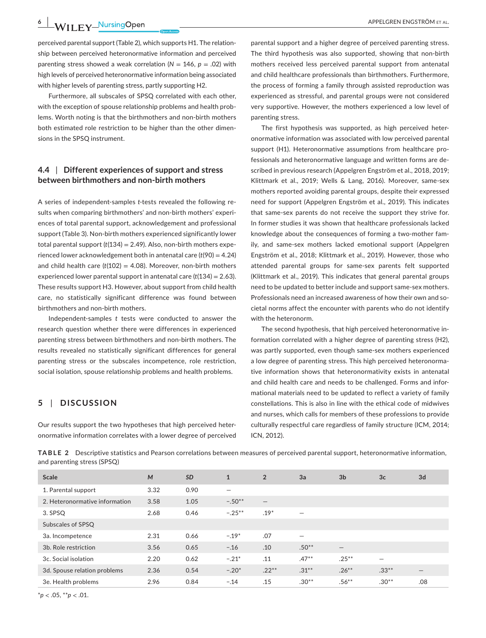**6 |**  APPELGREN ENGSTRÖM et al.

perceived parental support (Table 2), which supports H1. The relationship between perceived heteronormative information and perceived parenting stress showed a weak correlation  $(N = 146, p = .02)$  with high levels of perceived heteronormative information being associated with higher levels of parenting stress, partly supporting H2.

Furthermore, all subscales of SPSQ correlated with each other, with the exception of spouse relationship problems and health problems. Worth noting is that the birthmothers and non-birth mothers both estimated role restriction to be higher than the other dimensions in the SPSQ instrument.

# **4.4** | **Different experiences of support and stress between birthmothers and non-birth mothers**

A series of independent-samples *t*-tests revealed the following results when comparing birthmothers' and non-birth mothers' experiences of total parental support, acknowledgement and professional support (Table 3). Non-birth mothers experienced significantly lower total parental support (*t*(134) = 2.49). Also, non-birth mothers experienced lower acknowledgement both in antenatal care (*t*(90) = 4.24) and child health care  $(t(102) = 4.08)$ . Moreover, non-birth mothers experienced lower parental support in antenatal care (*t*(134) = 2.63). These results support H3. However, about support from child health care, no statistically significant difference was found between birthmothers and non-birth mothers.

Independent-samples *t* tests were conducted to answer the research question whether there were differences in experienced parenting stress between birthmothers and non-birth mothers. The results revealed no statistically significant differences for general parenting stress or the subscales incompetence, role restriction, social isolation, spouse relationship problems and health problems.

# **5** | **DISCUSSION**

Our results support the two hypotheses that high perceived heteronormative information correlates with a lower degree of perceived

parental support and a higher degree of perceived parenting stress. The third hypothesis was also supported, showing that non-birth mothers received less perceived parental support from antenatal and child healthcare professionals than birthmothers. Furthermore, the process of forming a family through assisted reproduction was experienced as stressful, and parental groups were not considered very supportive. However, the mothers experienced a low level of parenting stress.

The first hypothesis was supported, as high perceived heteronormative information was associated with low perceived parental support (H1). Heteronormative assumptions from healthcare professionals and heteronormative language and written forms are described in previous research (Appelgren Engström et al., 2018, 2019; Klittmark et al., 2019; Wells & Lang, 2016). Moreover, same-sex mothers reported avoiding parental groups, despite their expressed need for support (Appelgren Engström et al., 2019). This indicates that same-sex parents do not receive the support they strive for. In former studies it was shown that healthcare professionals lacked knowledge about the consequences of forming a two-mother family, and same-sex mothers lacked emotional support (Appelgren Engström et al., 2018; Klittmark et al., 2019). However, those who attended parental groups for same-sex parents felt supported (Klittmark et al., 2019). This indicates that general parental groups need to be updated to better include and support same-sex mothers. Professionals need an increased awareness of how their own and societal norms affect the encounter with parents who do not identify with the heteronorm.

The second hypothesis, that high perceived heteronormative information correlated with a higher degree of parenting stress (H2), was partly supported, even though same-sex mothers experienced a low degree of parenting stress. This high perceived heteronormative information shows that heteronormativity exists in antenatal and child health care and needs to be challenged. Forms and informational materials need to be updated to reflect a variety of family constellations. This is also in line with the ethical code of midwives and nurses, which calls for members of these professions to provide culturally respectful care regardless of family structure (ICM, 2014; ICN, 2012).

**TABLE 2** Descriptive statistics and Pearson correlations between measures of perceived parental support, heteronormative information, and parenting stress (SPSQ)

| Scale                          | M    | <b>SD</b> | $\mathbf{1}$             | $\overline{2}$    | 3a                       | 3 <sub>b</sub>    | 3 <sub>c</sub> | 3d              |
|--------------------------------|------|-----------|--------------------------|-------------------|--------------------------|-------------------|----------------|-----------------|
| 1. Parental support            | 3.32 | 0.90      | $\overline{\phantom{0}}$ |                   |                          |                   |                |                 |
| 2. Heteronormative information | 3.58 | 1.05      | $-.50**$                 | $\qquad \qquad -$ |                          |                   |                |                 |
| 3. SPSQ                        | 2.68 | 0.46      | $-.25***$                | $.19*$            |                          |                   |                |                 |
| Subscales of SPSQ              |      |           |                          |                   |                          |                   |                |                 |
| 3a. Incompetence               | 2.31 | 0.66      | $-.19*$                  | .07               | $\overline{\phantom{0}}$ |                   |                |                 |
| 3b. Role restriction           | 3.56 | 0.65      | $-.16$                   | .10               | $.50**$                  | $\qquad \qquad -$ |                |                 |
| 3c. Social isolation           | 2.20 | 0.62      | $-.21*$                  | .11               | $.47***$                 | $.25***$          |                |                 |
| 3d. Spouse relation problems   | 2.36 | 0.54      | $-.20*$                  | $.22***$          | $.31***$                 | $.26***$          | $.33***$       | $\qquad \qquad$ |
| 3e. Health problems            | 2.96 | 0.84      | $-.14$                   | .15               | $.30**$                  | $.56***$          | $.30**$        | .08             |

\**p* < .05, \*\**p* < .01.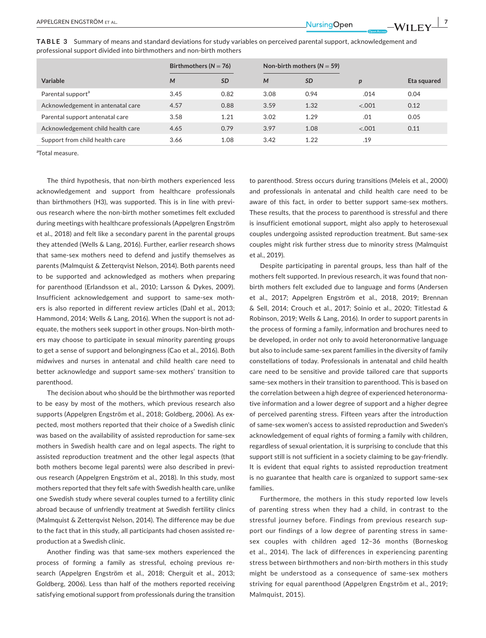| TABLE 3 Summary of means and standard deviations for study variables on perceived parental support, acknowledgement and |
|-------------------------------------------------------------------------------------------------------------------------|
| professional support divided into birthmothers and non-birth mothers                                                    |

|                                   | Birthmothers ( $N = 76$ ) |           |      | Non-birth mothers ( $N = 59$ ) |                  |             |
|-----------------------------------|---------------------------|-----------|------|--------------------------------|------------------|-------------|
| Variable                          | M                         | <b>SD</b> | M    | <b>SD</b>                      | $\boldsymbol{D}$ | Eta squared |
| Parental support <sup>a</sup>     | 3.45                      | 0.82      | 3.08 | 0.94                           | .014             | 0.04        |
| Acknowledgement in antenatal care | 4.57                      | 0.88      | 3.59 | 1.32                           | < .001           | 0.12        |
| Parental support antenatal care   | 3.58                      | 1.21      | 3.02 | 1.29                           | .01              | 0.05        |
| Acknowledgement child health care | 4.65                      | 0.79      | 3.97 | 1.08                           | < .001           | 0.11        |
| Support from child health care    | 3.66                      | 1.08      | 3.42 | 1.22                           | .19              |             |

a Total measure.

The third hypothesis, that non-birth mothers experienced less acknowledgement and support from healthcare professionals than birthmothers (H3), was supported. This is in line with previous research where the non-birth mother sometimes felt excluded during meetings with healthcare professionals (Appelgren Engström et al., 2018) and felt like a secondary parent in the parental groups they attended (Wells & Lang, 2016). Further, earlier research shows that same-sex mothers need to defend and justify themselves as parents (Malmquist & Zetterqvist Nelson, 2014). Both parents need to be supported and acknowledged as mothers when preparing for parenthood (Erlandsson et al., 2010; Larsson & Dykes, 2009). Insufficient acknowledgement and support to same-sex mothers is also reported in different review articles (Dahl et al., 2013; Hammond, 2014; Wells & Lang, 2016). When the support is not adequate, the mothers seek support in other groups. Non-birth mothers may choose to participate in sexual minority parenting groups to get a sense of support and belongingness (Cao et al., 2016). Both midwives and nurses in antenatal and child health care need to better acknowledge and support same-sex mothers' transition to parenthood.

The decision about who should be the birthmother was reported to be easy by most of the mothers, which previous research also supports (Appelgren Engström et al., 2018; Goldberg, 2006). As expected, most mothers reported that their choice of a Swedish clinic was based on the availability of assisted reproduction for same-sex mothers in Swedish health care and on legal aspects. The right to assisted reproduction treatment and the other legal aspects (that both mothers become legal parents) were also described in previous research (Appelgren Engström et al., 2018). In this study, most mothers reported that they felt safe with Swedish health care, unlike one Swedish study where several couples turned to a fertility clinic abroad because of unfriendly treatment at Swedish fertility clinics (Malmquist & Zetterqvist Nelson, 2014). The difference may be due to the fact that in this study, all participants had chosen assisted reproduction at a Swedish clinic.

Another finding was that same-sex mothers experienced the process of forming a family as stressful, echoing previous research (Appelgren Engström et al., 2018; Cherguit et al., 2013; Goldberg, 2006). Less than half of the mothers reported receiving satisfying emotional support from professionals during the transition

to parenthood. Stress occurs during transitions (Meleis et al., 2000) and professionals in antenatal and child health care need to be aware of this fact, in order to better support same-sex mothers. These results, that the process to parenthood is stressful and there is insufficient emotional support, might also apply to heterosexual couples undergoing assisted reproduction treatment. But same-sex couples might risk further stress due to minority stress (Malmquist et al., 2019).

Despite participating in parental groups, less than half of the mothers felt supported. In previous research, it was found that nonbirth mothers felt excluded due to language and forms (Andersen et al., 2017; Appelgren Engström et al., 2018, 2019; Brennan & Sell, 2014; Crouch et al., 2017; Soinio et al., 2020; Titlestad & Robinson, 2019; Wells & Lang, 2016). In order to support parents in the process of forming a family, information and brochures need to be developed, in order not only to avoid heteronormative language but also to include same-sex parent families in the diversity of family constellations of today. Professionals in antenatal and child health care need to be sensitive and provide tailored care that supports same-sex mothers in their transition to parenthood. This is based on the correlation between a high degree of experienced heteronormative information and a lower degree of support and a higher degree of perceived parenting stress. Fifteen years after the introduction of same-sex women's access to assisted reproduction and Sweden's acknowledgement of equal rights of forming a family with children, regardless of sexual orientation, it is surprising to conclude that this support still is not sufficient in a society claiming to be gay-friendly. It is evident that equal rights to assisted reproduction treatment is no guarantee that health care is organized to support same-sex families.

Furthermore, the mothers in this study reported low levels of parenting stress when they had a child, in contrast to the stressful journey before. Findings from previous research support our findings of a low degree of parenting stress in samesex couples with children aged 12–36 months (Borneskog et al., 2014). The lack of differences in experiencing parenting stress between birthmothers and non-birth mothers in this study might be understood as a consequence of same-sex mothers striving for equal parenthood (Appelgren Engström et al., 2019; Malmquist, 2015).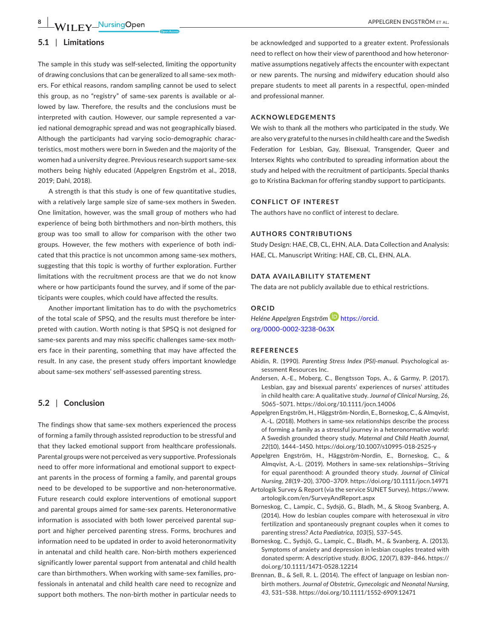#### **5.1** | **Limitations**

The sample in this study was self-selected, limiting the opportunity of drawing conclusions that can be generalized to all same-sex mothers. For ethical reasons, random sampling cannot be used to select this group, as no "registry" of same-sex parents is available or allowed by law. Therefore, the results and the conclusions must be interpreted with caution. However, our sample represented a varied national demographic spread and was not geographically biased. Although the participants had varying socio-demographic characteristics, most mothers were born in Sweden and the majority of the women had a university degree. Previous research support same-sex mothers being highly educated (Appelgren Engström et al., 2018, 2019; Dahl, 2018).

A strength is that this study is one of few quantitative studies, with a relatively large sample size of same-sex mothers in Sweden. One limitation, however, was the small group of mothers who had experience of being both birthmothers and non-birth mothers, this group was too small to allow for comparison with the other two groups. However, the few mothers with experience of both indicated that this practice is not uncommon among same-sex mothers, suggesting that this topic is worthy of further exploration. Further limitations with the recruitment process are that we do not know where or how participants found the survey, and if some of the participants were couples, which could have affected the results.

Another important limitation has to do with the psychometrics of the total scale of SPSQ, and the results must therefore be interpreted with caution. Worth noting is that SPSQ is not designed for same-sex parents and may miss specific challenges same-sex mothers face in their parenting, something that may have affected the result. In any case, the present study offers important knowledge about same-sex mothers' self-assessed parenting stress.

#### **5.2** | **Conclusion**

The findings show that same-sex mothers experienced the process of forming a family through assisted reproduction to be stressful and that they lacked emotional support from healthcare professionals. Parental groups were not perceived as very supportive. Professionals need to offer more informational and emotional support to expectant parents in the process of forming a family, and parental groups need to be developed to be supportive and non-heteronormative. Future research could explore interventions of emotional support and parental groups aimed for same-sex parents. Heteronormative information is associated with both lower perceived parental support and higher perceived parenting stress. Forms, brochures and information need to be updated in order to avoid heteronormativity in antenatal and child health care. Non-birth mothers experienced significantly lower parental support from antenatal and child health care than birthmothers. When working with same-sex families, professionals in antenatal and child health care need to recognize and support both mothers. The non-birth mother in particular needs to

be acknowledged and supported to a greater extent. Professionals need to reflect on how their view of parenthood and how heteronormative assumptions negatively affects the encounter with expectant or new parents. The nursing and midwifery education should also prepare students to meet all parents in a respectful, open-minded and professional manner.

#### **ACKNOWLEDGEMENTS**

We wish to thank all the mothers who participated in the study. We are also very grateful to the nurses in child health care and the Swedish Federation for Lesbian, Gay, Bisexual, Transgender, Queer and Intersex Rights who contributed to spreading information about the study and helped with the recruitment of participants. Special thanks go to Kristina Backman for offering standby support to participants.

#### **CONFLICT OF INTEREST**

The authors have no conflict of interest to declare.

#### **AUTHORS CONTRIBUTIONS**

Study Design: HAE, CB, CL, EHN, ALA. Data Collection and Analysis: HAE, CL. Manuscript Writing: HAE, CB, CL, EHN, ALA.

#### **DATA AVAILABILITY STATEMENT**

The data are not publicly available due to ethical restrictions.

#### **ORCID**

*Heléne Appelgren Engström* [https://orcid.](https://orcid.org/0000-0002-3238-063X) [org/0000-0002-3238-063X](https://orcid.org/0000-0002-3238-063X)

#### **REFERENCES**

- Abidin, R. (1990). *Parenting Stress Index (PSI)-manual*. Psychological assessment Resources Inc.
- Andersen, A.-E., Moberg, C., Bengtsson Tops, A., & Garmy, P. (2017). Lesbian, gay and bisexual parents' experiences of nurses' attitudes in child health care: A qualitative study. *Journal of Clinical Nursing*, *26*, 5065–5071.<https://doi.org/10.1111/jocn.14006>
- Appelgren Engström, H., Häggström-Nordin, E., Borneskog, C., & Almqvist, A.-L. (2018). Mothers in same-sex relationships describe the process of forming a family as a stressful journey in a heteronormative world: A Swedish grounded theory study. *Maternal and Child Health Journal*, *22*(10), 1444–1450. <https://doi.org/10.1007/s10995-018-2525-y>
- Appelgren Engström, H., Häggström-Nordin, E., Borneskog, C., & Almqvist, A.-L. (2019). Mothers in same-sex relationships—Striving for equal parenthood: A grounded theory study. *Journal of Clinical Nursing*, *28*(19–20), 3700–3709.<https://doi.org/10.1111/jocn.14971>
- Artologik Survey & Report (via the service SUNET Survey). [https://www.](https://www.artologik.com/en/SurveyAndReport.aspx) [artologik.com/en/SurveyAndReport.aspx](https://www.artologik.com/en/SurveyAndReport.aspx)
- Borneskog, C., Lampic, C., Sydsjö, G., Bladh, M., & Skoog Svanberg, A. (2014). How do lesbian couples compare with heterosexual *in vitro* fertilization and spontaneously pregnant couples when it comes to parenting stress? *Acta Paediatrica*, *103*(5), 537–545.
- Borneskog, C., Sydsjö, G., Lampic, C., Bladh, M., & Svanberg, A. (2013). Symptoms of anxiety and depression in lesbian couples treated with donated sperm: A descriptive study. *BJOG*, *120*(7), 839–846. [https://](https://doi.org/10.1111/1471-0528.12214) [doi.org/10.1111/1471-0528.12214](https://doi.org/10.1111/1471-0528.12214)
- Brennan, B., & Sell, R. L. (2014). The effect of language on lesbian nonbirth mothers. *Journal of Obstetric, Gynecologic and Neonatal Nursing*, *43*, 531–538. <https://doi.org/10.1111/1552-6909.12471>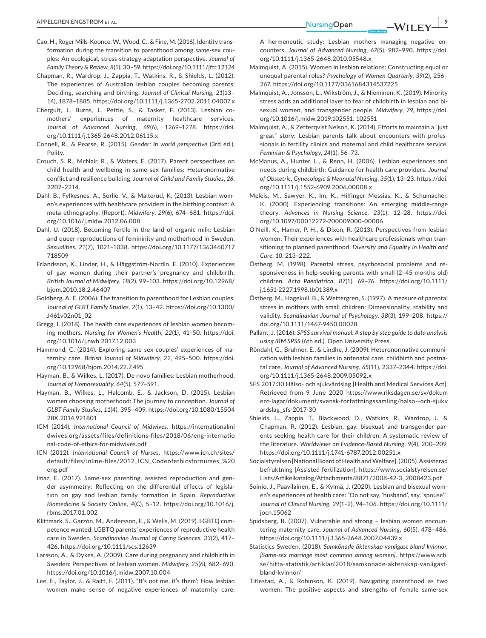- Cao, H., Roger Mills-Koonce, W., Wood, C., & Fine, M. (2016). Identity transformation during the transition to parenthood among same-sex couples: An ecological, stress-strategy-adaptation perspective. *Journal of Family Theory & Review*, *8*(1), 30–59. <https://doi.org/10.1111/jftr.12124>
- Chapman, R., Wardrop, J., Zappia, T., Watkins, R., & Shields, L. (2012). The experiences of Australian lesbian couples becoming parents: Deciding, searching and birthing. *Journal of Clinical Nursing*, *21*(13– 14), 1878–1885.<https://doi.org/10.1111/j.1365-2702.2011.04007.x>
- Cherguit, J., Burns, J., Pettle, S., & Tasker, F. (2013). Lesbian comothers' experiences of maternity healthcare services. *Journal of Advanced Nursing*, *69*(6), 1269–1278. [https://doi.](https://doi.org/10.1111/j.1365-2648.2012.06115.x) [org/10.1111/j.1365-2648.2012.06115.x](https://doi.org/10.1111/j.1365-2648.2012.06115.x)
- Connell, R., & Pearse, R. (2015). *Gender: In world perspective* (3rd ed.). Polity.
- Crouch, S. R., McNair, R., & Waters, E. (2017). Parent perspectives on child health and wellbeing in same-sex families: Heteronormative conflict and resilience building. *Journal of Child and Family Studies*, *26*, 2202–2214.
- Dahl, B., Fylkesnes, A., Sorlie, V., & Malterud, K. (2013). Lesbian women's experiences with healthcare providers in the birthing context: A meta-ethnography. (Report). *Midwifery*, *29*(6), 674–681. [https://doi.](https://doi.org/10.1016/j.midw.2012.06.008) [org/10.1016/j.midw.2012.06.008](https://doi.org/10.1016/j.midw.2012.06.008)
- Dahl, U. (2018). Becoming fertile in the land of organic milk: Lesbian and queer reproductions of femininity and motherhood in Sweden. *Sexualities*, *21*(7), 1021–1038. [https://doi.org/10.1177/1363460717](https://doi.org/10.1177/1363460717718509) [718509](https://doi.org/10.1177/1363460717718509)
- Erlandsson, K., Linder, H., & Häggström-Nordin, E. (2010). Experiences of gay women during their partner's pregnancy and childbirth. *British Journal of Midwifery*, *18*(2), 99–103. [https://doi.org/10.12968/](https://doi.org/10.12968/bjom.2010.18.2.46407) [bjom.2010.18.2.46407](https://doi.org/10.12968/bjom.2010.18.2.46407)
- Goldberg, A. E. (2006). The transition to parenthood for Lesbian couples. *Journal of GLBT Family Studies*, *2*(1), 13–42. [https://doi.org/10.1300/](https://doi.org/10.1300/J461v02n01_02) [J461v02n01\\_02](https://doi.org/10.1300/J461v02n01_02)
- Gregg, I. (2018). The health care experiences of lesbian women becoming mothers. *Nursing for Women's Health*, *22*(1), 41–50. [https://doi.](https://doi.org/10.1016/j.nwh.2017.12.003) [org/10.1016/j.nwh.2017.12.003](https://doi.org/10.1016/j.nwh.2017.12.003)
- Hammond, C. (2014). Exploring same sex couples' experiences of maternity care. *British Journal of Midwifery*, *22*, 495–500. [https://doi.](https://doi.org/10.12968/bjom.2014.22.7.495) [org/10.12968/bjom.2014.22.7.495](https://doi.org/10.12968/bjom.2014.22.7.495)
- Hayman, B., & Wilkes, L. (2017). De novo families: Lesbian motherhood. *Journal of Homosexuality*, *64*(5), 577–591.
- Hayman, B., Wilkes, L., Halcomb, E., & Jackson, D. (2015). Lesbian women choosing motherhood: The journey to conception. *Journal of GLBT Family Studies*, *11*(4), 395–409. [https://doi.org/10.1080/15504](https://doi.org/10.1080/1550428X.2014.921801) [28X.2014.921801](https://doi.org/10.1080/1550428X.2014.921801)
- ICM (2014). *International Council of Midwives*. [https://internationalmi](https://internationalmidwives.org/assets/files/definitions-files/2018/06/eng-international-code-of-ethics-for-midwives.pdf) [dwives.org/assets/files/definitions-files/2018/06/eng-internatio](https://internationalmidwives.org/assets/files/definitions-files/2018/06/eng-international-code-of-ethics-for-midwives.pdf) [nal-code-of-ethics-for-midwives.pdf](https://internationalmidwives.org/assets/files/definitions-files/2018/06/eng-international-code-of-ethics-for-midwives.pdf)
- ICN (2012). *International Council of Nurses*. [https://www.icn.ch/sites/](https://www.icn.ch/sites/default/files/inline-files/2012_ICN_Codeofethicsfornurses_ eng.pdf) [default/files/inline-files/2012\\_ICN\\_Codeofethicsfornurses\\_%20](https://www.icn.ch/sites/default/files/inline-files/2012_ICN_Codeofethicsfornurses_ eng.pdf) [eng.pdf](https://www.icn.ch/sites/default/files/inline-files/2012_ICN_Codeofethicsfornurses_ eng.pdf)
- Imaz, E. (2017). Same-sex parenting, assisted reproduction and gender asymmetry: Reflecting on the differential effects of legislation on gay and lesbian family formation in Spain. *Reproductive Biomedicine & Society Online*, *4*(C), 5–12. [https://doi.org/10.1016/j.](https://doi.org/10.1016/j.rbms.2017.01.002) [rbms.2017.01.002](https://doi.org/10.1016/j.rbms.2017.01.002)
- Klittmark, S., Garzón, M., Andersson, E., & Wells, M. (2019). LGBTQ competence wanted: LGBTQ parents' experiences of reproductive health care in Sweden. *Scandinavian Journal of Caring Sciences*, *33*(2), 417– 426. <https://doi.org/10.1111/scs.12639>
- Larsson, A., & Dykes, A. (2009). Care during pregnancy and childbirth in Sweden: Perspectives of lesbian women. *Midwifery*, *25*(6), 682–690. <https://doi.org/10.1016/j.midw.2007.10.004>
- Lee, E., Taylor, J., & Raitt, F. (2011). "It's not me, it's them': How lesbian women make sense of negative experiences of maternity care:

A hermeneutic study: Lesbian mothers managing negative encounters. *Journal of Advanced Nursing*, *67*(5), 982–990. [https://doi.](https://doi.org/10.1111/j.1365-2648.2010.05548.x) [org/10.1111/j.1365-2648.2010.05548.x](https://doi.org/10.1111/j.1365-2648.2010.05548.x)

- Malmquist, A. (2015). Women in lesbian relations: Constructing equal or unequal parental roles? *Psychology of Women Quarterly*, *39*(2), 256– 267. <https://doi.org/10.1177/0361684314537225>
- Malmquist, A., Jonsson, L., Wikström, J., & Nieminen, K. (2019). Minority stress adds an additional layer to fear of childbirth in lesbian and bisexual women, and transgender people. *Midwifery*, *79*, [https://doi.](https://doi.org/10.1016/j.midw.2019.102551) [org/10.1016/j.midw.2019.102551.](https://doi.org/10.1016/j.midw.2019.102551) 102551
- Malmquist, A., & Zetterqvist Nelson, K. (2014). Efforts to maintain a "just great" story: Lesbian parents talk about encounters with professionals in fertility clinics and maternal and child healthcare service. *Feminism & Psychology*, *24*(1), 56–73.
- McManus, A., Hunter, L., & Renn, H. (2006). Lesbian experiences and needs during childbirth: Guidance for health care providers. *Journal of Obstetric, Gynecologic & Neonatal Nursing*, *35*(1), 13–23. [https://doi.](https://doi.org/10.1111/j.1552-6909.2006.00008.x) [org/10.1111/j.1552-6909.2006.00008.x](https://doi.org/10.1111/j.1552-6909.2006.00008.x)
- Meleis, M., Sawyer, K., Im, K., Hilfinger Messias, K., & Schumacher, K. (2000). Experiencing transitions: An emerging middle-range theory. *Advances in Nursing Science*, *23*(1), 12–28. [https://doi.](https://doi.org/10.1097/00012272-200009000-00006) [org/10.1097/00012272-200009000-00006](https://doi.org/10.1097/00012272-200009000-00006)
- O'Neill, K., Hamer, P. H., & Dixon, R. (2013). Perspectives from lesbian women: Their experiences with healthcare professionals when transitioning to planned parenthood. *Diversity and Equality in Health and Care*, *10*, 213–222.
- Östberg, M. (1998). Parental stress, psychosocial problems and responsiveness in help-seeking parents with small (2–45 months old) children. *Acta Paediatrica*, *87*(1), 69–76. [https://doi.org/10.1111/](https://doi.org/10.1111/j.1651-2227.1998.tb01389.x) [j.1651-2227.1998.tb01389.x](https://doi.org/10.1111/j.1651-2227.1998.tb01389.x)
- Östberg, M., Hagekull, B., & Wettergren, S. (1997). A measure of parental stress in mothers with small children: Dimensionality, stability and validity. *Scandinavian Journal of Psychology*, *38*(3), 199–208. [https://](https://doi.org/10.1111/1467-9450.00028) [doi.org/10.1111/1467-9450.00028](https://doi.org/10.1111/1467-9450.00028)
- Pallant, J. (2016). *SPSS survival manual: A step by step guide to data analysis using IBM SPSS* (6th ed.). Open University Press.
- Röndahl, G., Bruhner, E., & Lindhe, J. (2009). Heteronormative communication with lesbian families in antenatal care, childbirth and postnatal care. *Journal of Advanced Nursing*, *65*(11), 2337–2344. [https://doi.](https://doi.org/10.1111/j.1365-2648.2009.05092.x) [org/10.1111/j.1365-2648.2009.05092.x](https://doi.org/10.1111/j.1365-2648.2009.05092.x)
- SFS 2017:30 Hälso- och sjukvårdslag [Health and Medical Services Act]. Retrieved from 9 June 2020 [https://www.riksdagen.se/sv/dokum](https://www.riksdagen.se/sv/dokument-lagar/dokument/svensk-forfattningssamling/halso--och-sjukvardslag_sfs-2017-30) [ent-lagar/dokument/svensk-forfattningssamling/halso--och-sjukv](https://www.riksdagen.se/sv/dokument-lagar/dokument/svensk-forfattningssamling/halso--och-sjukvardslag_sfs-2017-30) [ardslag\\_sfs-2017-30](https://www.riksdagen.se/sv/dokument-lagar/dokument/svensk-forfattningssamling/halso--och-sjukvardslag_sfs-2017-30)
- Shields, L., Zappia, T., Blackwood, D., Watkins, R., Wardrop, J., & Chapman, R. (2012). Lesbian, gay, bisexual, and transgender parents seeking health care for their children: A systematic review of the literature. *Worldviews on Evidence-Based Nursing*, *9*(4), 200–209. <https://doi.org/10.1111/j.1741-6787.2012.00251.x>
- Socialstyrelsen [National Board of Health and Welfare]. (2005). Assisterad befruktning [Assisted fertilization]. [https://www.socialstyrelsen.se/](https://www.socialstyrelsen.se/Lists/Artikelkatalog/Attachments/8871/2008-42-3_2008423.pdf) [Lists/Artikelkatalog/Attachments/8871/2008-42-3\\_2008423.pdf](https://www.socialstyrelsen.se/Lists/Artikelkatalog/Attachments/8871/2008-42-3_2008423.pdf)
- Soinio, J., Paavilainen, E., & Kylmä, J. (2020). Lesbian and bisexual women's experiences of health care: "Do not say, 'husband', say, 'spouse'". *Journal of Clinical Nursing*, *29*(1–2), 94–106. [https://doi.org/10.1111/](https://doi.org/10.1111/jocn.15062) [jocn.15062](https://doi.org/10.1111/jocn.15062)
- Spidsberg, B. (2007). Vulnerable and strong lesbian women encountering maternity care. *Journal of Advanced Nursing*, *60*(5), 478–486. <https://doi.org/10.1111/j.1365-2648.2007.04439.x>
- Statistics Sweden. (2018). *Samkönade äktenskap vanligast bland kvinnor. [Same-sex marriage most common among women]*. [https://www.scb.](https://www.scb.se/hitta-statistik/artiklar/2018/samkonade-aktenskap-vanligast-bland-kvinnor/) [se/hitta-statistik/artiklar/2018/samkonade-aktenskap-vanligast](https://www.scb.se/hitta-statistik/artiklar/2018/samkonade-aktenskap-vanligast-bland-kvinnor/)[bland-kvinnor/](https://www.scb.se/hitta-statistik/artiklar/2018/samkonade-aktenskap-vanligast-bland-kvinnor/)
- Titlestad, A., & Robinson, K. (2019). Navigating parenthood as two women: The positive aspects and strengths of female same-sex